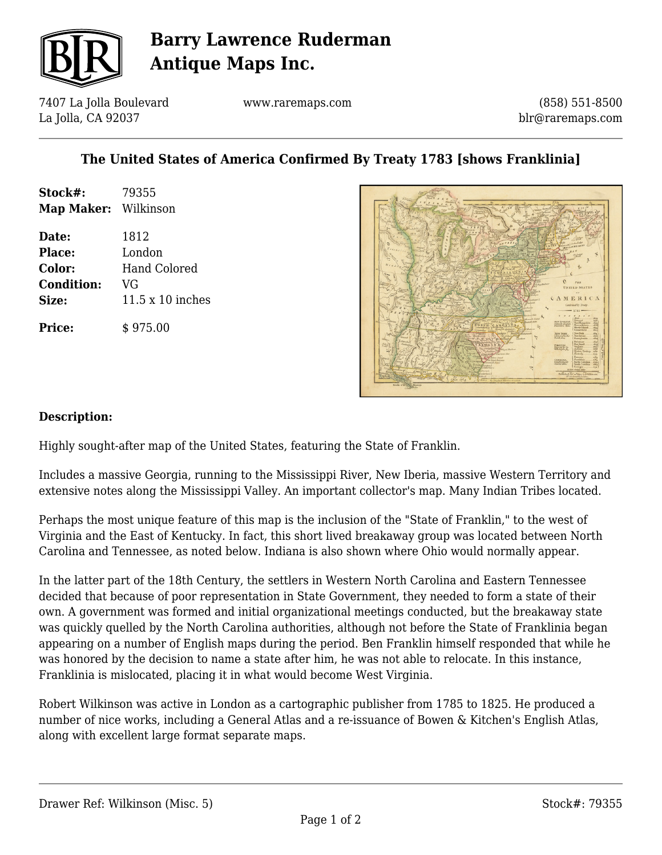

# **Barry Lawrence Ruderman Antique Maps Inc.**

7407 La Jolla Boulevard La Jolla, CA 92037

www.raremaps.com

(858) 551-8500 blr@raremaps.com

### **The United States of America Confirmed By Treaty 1783 [shows Franklinia]**

| Stock#:<br>Map Maker: Wilkinson | 79355            |
|---------------------------------|------------------|
| Date:                           | 1812             |
| Place:                          | London           |
| Color:                          | Hand Colored     |
| <b>Condition:</b>               | VG               |
| Size:                           | 11.5 x 10 inches |
| <b>Price:</b>                   | \$975.00         |



#### **Description:**

Highly sought-after map of the United States, featuring the State of Franklin.

Includes a massive Georgia, running to the Mississippi River, New Iberia, massive Western Territory and extensive notes along the Mississippi Valley. An important collector's map. Many Indian Tribes located.

Perhaps the most unique feature of this map is the inclusion of the "State of Franklin," to the west of Virginia and the East of Kentucky. In fact, this short lived breakaway group was located between North Carolina and Tennessee, as noted below. Indiana is also shown where Ohio would normally appear.

In the latter part of the 18th Century, the settlers in Western North Carolina and Eastern Tennessee decided that because of poor representation in State Government, they needed to form a state of their own. A government was formed and initial organizational meetings conducted, but the breakaway state was quickly quelled by the North Carolina authorities, although not before the State of Franklinia began appearing on a number of English maps during the period. Ben Franklin himself responded that while he was honored by the decision to name a state after him, he was not able to relocate. In this instance, Franklinia is mislocated, placing it in what would become West Virginia.

Robert Wilkinson was active in London as a cartographic publisher from 1785 to 1825. He produced a number of nice works, including a General Atlas and a re-issuance of Bowen & Kitchen's English Atlas, along with excellent large format separate maps.